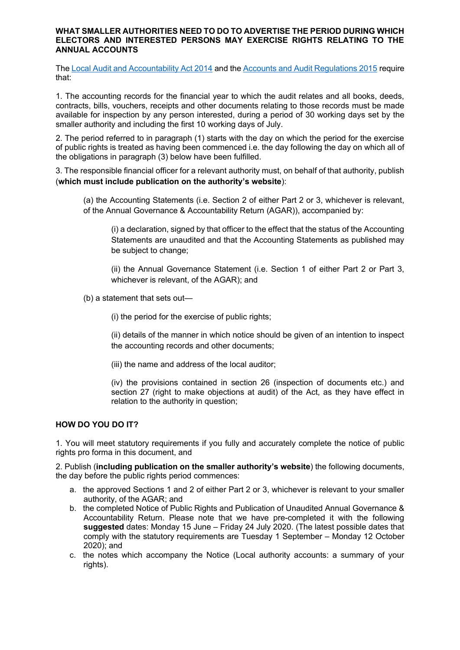#### **WHAT SMALLER AUTHORITIES NEED TO DO TO ADVERTISE THE PERIOD DURING WHICH ELECTORS AND INTERESTED PERSONS MAY EXERCISE RIGHTS RELATING TO THE ANNUAL ACCOUNTS**

Th[e Local Audit and Accountability Act 2014](http://www.legislation.gov.uk/ukpga/2014/2/contents) and th[e Accounts and Audit Regulations 2015](http://www.legislation.gov.uk/uksi/2015/234/contents/made) require that:

1. The accounting records for the financial year to which the audit relates and all books, deeds, contracts, bills, vouchers, receipts and other documents relating to those records must be made available for inspection by any person interested, during a period of 30 working days set by the smaller authority and including the first 10 working days of July.

2. The period referred to in paragraph (1) starts with the day on which the period for the exercise of public rights is treated as having been commenced i.e. the day following the day on which all of the obligations in paragraph (3) below have been fulfilled.

3. The responsible financial officer for a relevant authority must, on behalf of that authority, publish (**which must include publication on the authority's website**):

(a) the Accounting Statements (i.e. Section 2 of either Part 2 or 3, whichever is relevant, of the Annual Governance & Accountability Return (AGAR)), accompanied by:

(i) a declaration, signed by that officer to the effect that the status of the Accounting Statements are unaudited and that the Accounting Statements as published may be subject to change;

(ii) the Annual Governance Statement (i.e. Section 1 of either Part 2 or Part 3, whichever is relevant, of the AGAR); and

(b) a statement that sets out—

(i) the period for the exercise of public rights;

(ii) details of the manner in which notice should be given of an intention to inspect the accounting records and other documents;

(iii) the name and address of the local auditor;

(iv) the provisions contained in section 26 (inspection of documents etc.) and section 27 (right to make objections at audit) of the Act, as they have effect in relation to the authority in question;

# **HOW DO YOU DO IT?**

1. You will meet statutory requirements if you fully and accurately complete the notice of public rights pro forma in this document, and

2. Publish (**including publication on the smaller authority's website**) the following documents, the day before the public rights period commences:

- a. the approved Sections 1 and 2 of either Part 2 or 3, whichever is relevant to your smaller authority, of the AGAR; and
- b. the completed Notice of Public Rights and Publication of Unaudited Annual Governance & Accountability Return. Please note that we have pre-completed it with the following **suggested** dates: Monday 15 June – Friday 24 July 2020. (The latest possible dates that comply with the statutory requirements are Tuesday 1 September – Monday 12 October 2020); and
- c. the notes which accompany the Notice (Local authority accounts: a summary of your rights).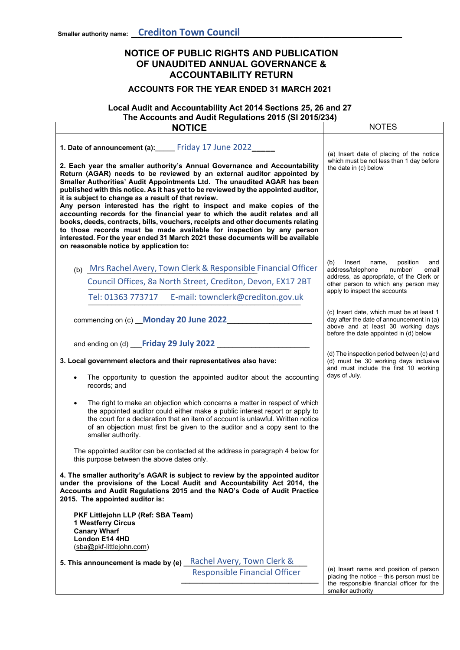'n

# **NOTICE OF PUBLIC RIGHTS AND PUBLICATION OF UNAUDITED ANNUAL GOVERNANCE & ACCOUNTABILITY RETURN**

## **ACCOUNTS FOR THE YEAR ENDED 31 MARCH 2021**

# **Local Audit and Accountability Act 2014 Sections 25, 26 and 27 The Accounts and Audit Regulations 2015 (SI 2015/234)**

| <b>NOTICE</b>                                                                                                                                                                                                                                                                                                                                                                                                                                                                                                                                                                                                                                                                                                                                                                                                                                                                                | <b>NOTES</b>                                                                                                                                                           |
|----------------------------------------------------------------------------------------------------------------------------------------------------------------------------------------------------------------------------------------------------------------------------------------------------------------------------------------------------------------------------------------------------------------------------------------------------------------------------------------------------------------------------------------------------------------------------------------------------------------------------------------------------------------------------------------------------------------------------------------------------------------------------------------------------------------------------------------------------------------------------------------------|------------------------------------------------------------------------------------------------------------------------------------------------------------------------|
| 1. Date of announcement (a):_____ Friday 17 June 2022______<br>2. Each year the smaller authority's Annual Governance and Accountability<br>Return (AGAR) needs to be reviewed by an external auditor appointed by<br>Smaller Authorities' Audit Appointments Ltd. The unaudited AGAR has been<br>published with this notice. As it has yet to be reviewed by the appointed auditor,<br>it is subject to change as a result of that review.<br>Any person interested has the right to inspect and make copies of the<br>accounting records for the financial year to which the audit relates and all<br>books, deeds, contracts, bills, vouchers, receipts and other documents relating<br>to those records must be made available for inspection by any person<br>interested. For the year ended 31 March 2021 these documents will be available<br>on reasonable notice by application to: | (a) Insert date of placing of the notice<br>which must be not less than 1 day before<br>the date in (c) below                                                          |
| (b) Mrs Rachel Avery, Town Clerk & Responsible Financial Officer                                                                                                                                                                                                                                                                                                                                                                                                                                                                                                                                                                                                                                                                                                                                                                                                                             | Insert<br>(b)<br>name,<br>position<br>and<br>address/telephone<br>number/<br>email                                                                                     |
| Council Offices, 8a North Street, Crediton, Devon, EX17 2BT                                                                                                                                                                                                                                                                                                                                                                                                                                                                                                                                                                                                                                                                                                                                                                                                                                  | address, as appropriate, of the Clerk or<br>other person to which any person may                                                                                       |
| Tel: 01363 773717 E-mail: townclerk@crediton.gov.uk                                                                                                                                                                                                                                                                                                                                                                                                                                                                                                                                                                                                                                                                                                                                                                                                                                          | apply to inspect the accounts                                                                                                                                          |
| commencing on (c) Monday 20 June 2022                                                                                                                                                                                                                                                                                                                                                                                                                                                                                                                                                                                                                                                                                                                                                                                                                                                        | (c) Insert date, which must be at least 1<br>day after the date of announcement in (a)<br>above and at least 30 working days<br>before the date appointed in (d) below |
| and ending on (d) Friday 29 July 2022                                                                                                                                                                                                                                                                                                                                                                                                                                                                                                                                                                                                                                                                                                                                                                                                                                                        |                                                                                                                                                                        |
| 3. Local government electors and their representatives also have:<br>The opportunity to question the appointed auditor about the accounting<br>records; and                                                                                                                                                                                                                                                                                                                                                                                                                                                                                                                                                                                                                                                                                                                                  | (d) The inspection period between (c) and<br>(d) must be 30 working days inclusive<br>and must include the first 10 working<br>days of July.                           |
| The right to make an objection which concerns a matter in respect of which<br>the appointed auditor could either make a public interest report or apply to<br>the court for a declaration that an item of account is unlawful. Written notice<br>of an objection must first be given to the auditor and a copy sent to the<br>smaller authority.                                                                                                                                                                                                                                                                                                                                                                                                                                                                                                                                             |                                                                                                                                                                        |
| The appointed auditor can be contacted at the address in paragraph 4 below for<br>this purpose between the above dates only.                                                                                                                                                                                                                                                                                                                                                                                                                                                                                                                                                                                                                                                                                                                                                                 |                                                                                                                                                                        |
| 4. The smaller authority's AGAR is subject to review by the appointed auditor<br>under the provisions of the Local Audit and Accountability Act 2014, the<br>Accounts and Audit Regulations 2015 and the NAO's Code of Audit Practice<br>2015. The appointed auditor is:                                                                                                                                                                                                                                                                                                                                                                                                                                                                                                                                                                                                                     |                                                                                                                                                                        |
| PKF Littlejohn LLP (Ref: SBA Team)<br><b>1 Westferry Circus</b><br><b>Canary Wharf</b><br>London E14 4HD<br>(sba@pkf-littlejohn.com)                                                                                                                                                                                                                                                                                                                                                                                                                                                                                                                                                                                                                                                                                                                                                         |                                                                                                                                                                        |
| Rachel Avery, Town Clerk &<br>5. This announcement is made by (e)                                                                                                                                                                                                                                                                                                                                                                                                                                                                                                                                                                                                                                                                                                                                                                                                                            |                                                                                                                                                                        |
| <b>Responsible Financial Officer</b>                                                                                                                                                                                                                                                                                                                                                                                                                                                                                                                                                                                                                                                                                                                                                                                                                                                         | (e) Insert name and position of person<br>placing the notice $-$ this person must be<br>the responsible financial officer for the                                      |
|                                                                                                                                                                                                                                                                                                                                                                                                                                                                                                                                                                                                                                                                                                                                                                                                                                                                                              | smaller authority                                                                                                                                                      |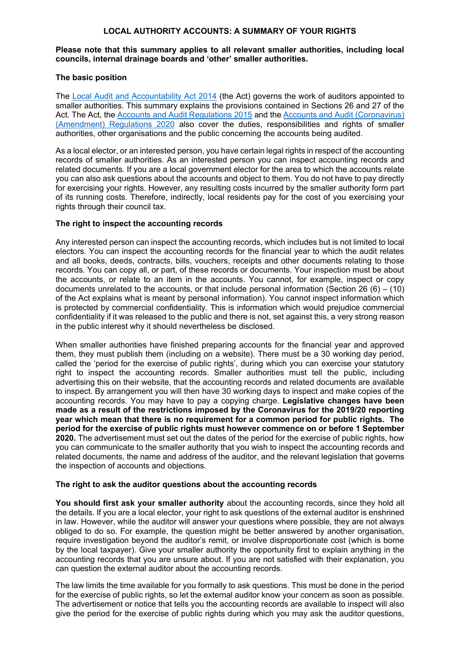### **LOCAL AUTHORITY ACCOUNTS: A SUMMARY OF YOUR RIGHTS**

#### **Please note that this summary applies to all relevant smaller authorities, including local councils, internal drainage boards and 'other' smaller authorities.**

### **The basic position**

The [Local Audit and Accountability Act 2014](http://www.legislation.gov.uk/ukpga/2014/2/contents) (the Act) governs the work of auditors appointed to smaller authorities. This summary explains the provisions contained in Sections 26 and 27 of the Act. The Act, the [Accounts and Audit Regulations 2015](http://www.legislation.gov.uk/uksi/2015/234/contents/made) and the [Accounts and Audit \(Coronavirus\)](http://www.legislation.gov.uk/uksi/2020/404/contents/made)  [\(Amendment\) Regulations 2020](http://www.legislation.gov.uk/uksi/2020/404/contents/made) also cover the duties, responsibilities and rights of smaller authorities, other organisations and the public concerning the accounts being audited.

As a local elector, or an interested person, you have certain legal rights in respect of the accounting records of smaller authorities. As an interested person you can inspect accounting records and related documents. If you are a local government elector for the area to which the accounts relate you can also ask questions about the accounts and object to them. You do not have to pay directly for exercising your rights. However, any resulting costs incurred by the smaller authority form part of its running costs. Therefore, indirectly, local residents pay for the cost of you exercising your rights through their council tax.

#### **The right to inspect the accounting records**

Any interested person can inspect the accounting records, which includes but is not limited to local electors. You can inspect the accounting records for the financial year to which the audit relates and all books, deeds, contracts, bills, vouchers, receipts and other documents relating to those records. You can copy all, or part, of these records or documents. Your inspection must be about the accounts, or relate to an item in the accounts. You cannot, for example, inspect or copy documents unrelated to the accounts, or that include personal information (Section 26  $(6) - (10)$ ) of the Act explains what is meant by personal information). You cannot inspect information which is protected by commercial confidentiality. This is information which would prejudice commercial confidentiality if it was released to the public and there is not, set against this, a very strong reason in the public interest why it should nevertheless be disclosed.

When smaller authorities have finished preparing accounts for the financial year and approved them, they must publish them (including on a website). There must be a 30 working day period, called the 'period for the exercise of public rights', during which you can exercise your statutory right to inspect the accounting records. Smaller authorities must tell the public, including advertising this on their website, that the accounting records and related documents are available to inspect. By arrangement you will then have 30 working days to inspect and make copies of the accounting records. You may have to pay a copying charge. **Legislative changes have been made as a result of the restrictions imposed by the Coronavirus for the 2019/20 reporting year which mean that there is no requirement for a common period for public rights. The period for the exercise of public rights must however commence on or before 1 September 2020.** The advertisement must set out the dates of the period for the exercise of public rights, how you can communicate to the smaller authority that you wish to inspect the accounting records and related documents, the name and address of the auditor, and the relevant legislation that governs the inspection of accounts and objections.

#### **The right to ask the auditor questions about the accounting records**

**You should first ask your smaller authority** about the accounting records, since they hold all the details. If you are a local elector, your right to ask questions of the external auditor is enshrined in law. However, while the auditor will answer your questions where possible, they are not always obliged to do so. For example, the question might be better answered by another organisation, require investigation beyond the auditor's remit, or involve disproportionate cost (which is borne by the local taxpayer). Give your smaller authority the opportunity first to explain anything in the accounting records that you are unsure about. If you are not satisfied with their explanation, you can question the external auditor about the accounting records.

The law limits the time available for you formally to ask questions. This must be done in the period for the exercise of public rights, so let the external auditor know your concern as soon as possible. The advertisement or notice that tells you the accounting records are available to inspect will also give the period for the exercise of public rights during which you may ask the auditor questions,